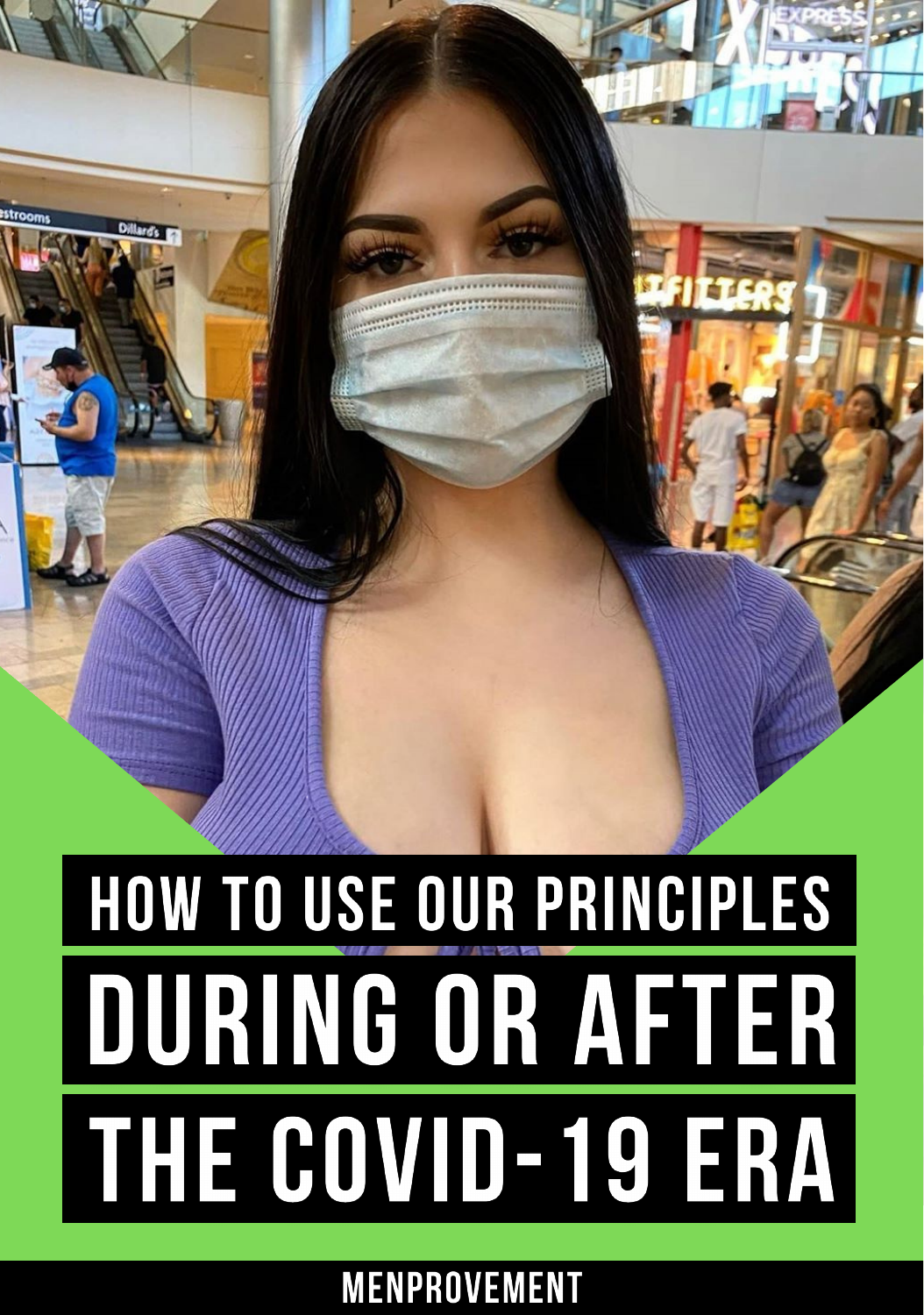

# HOW TO USE OUR PRINCIPLES DURING OR AFTER THE COVID-19 ERA

**MENPROVEMENT**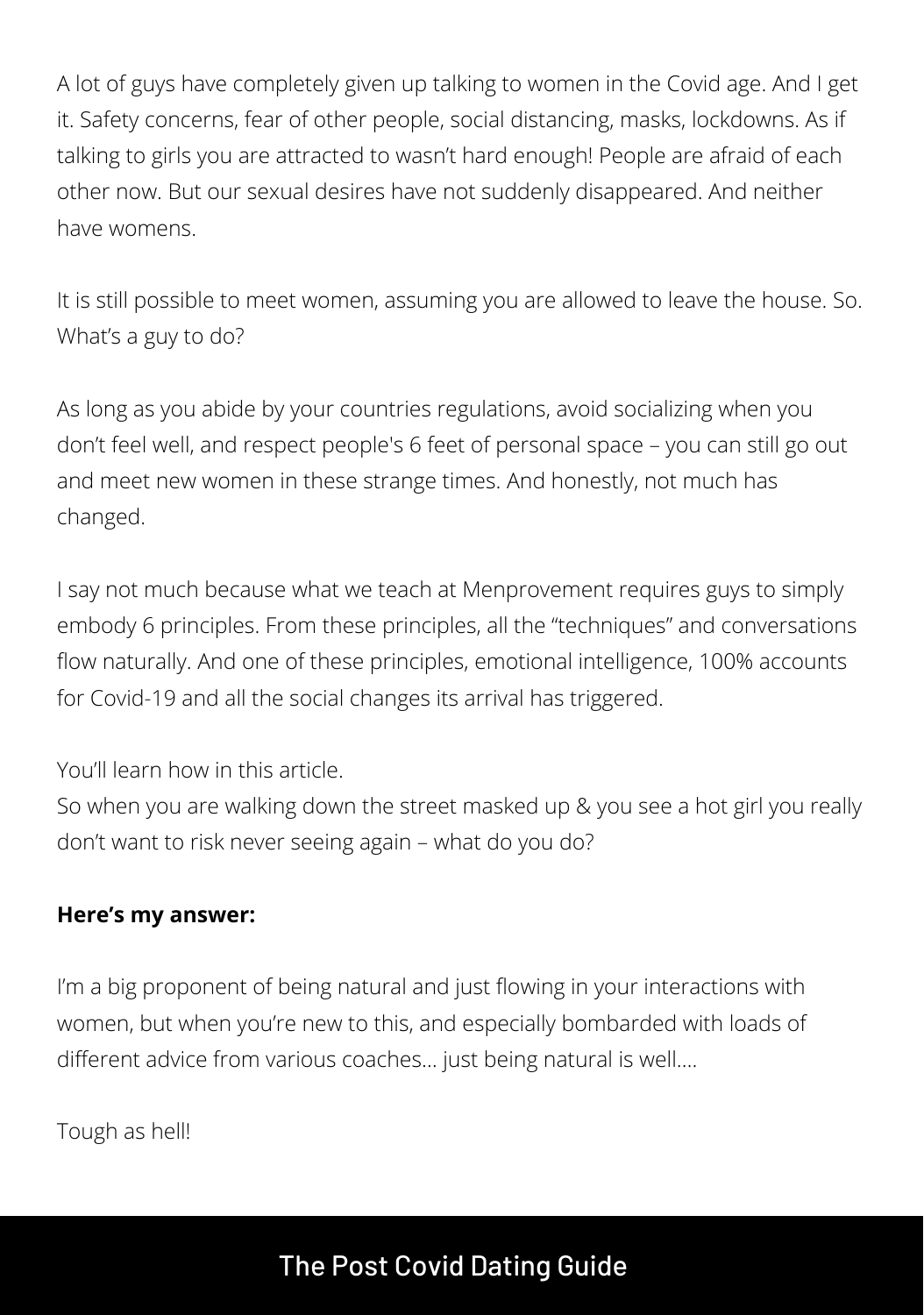A lot of guys have completely given up talking to women in the Covid age. And I get it. Safety concerns, fear of other people, social distancing, masks, lockdowns. As if talking to girls you are attracted to wasn't hard enough! People are afraid of each other now. But our sexual desires have not suddenly disappeared. And neither have womens.

It is still possible to meet women, assuming you are allowed to leave the house. So. What's a guy to do?

As long as you abide by your countries regulations, avoid socializing when you don't feel well, and respect people's 6 feet of personal space – you can still go out and meet new women in these strange times. And honestly, not much has changed.

I say not much because what we teach at Menprovement requires guys to simply embody 6 [principles.](https://www.menprovement.com/the-6-principles/) From these principles, all the "techniques" and conversations flow naturally. And one of these principles, emotional intelligence, 100% accounts for Covid-19 and all the social changes its arrival has triggered.

You'll learn how in this article.

So when you are walking down the street masked up & you see a hot girl you really don't want to risk never seeing again – what do you do?

#### **Here's my answer:**

I'm a big proponent of being natural and just flowing in your interactions with women, but when you're new to this, and especially bombarded with loads of different advice from various coaches… just being natural is well….

Tough as hell!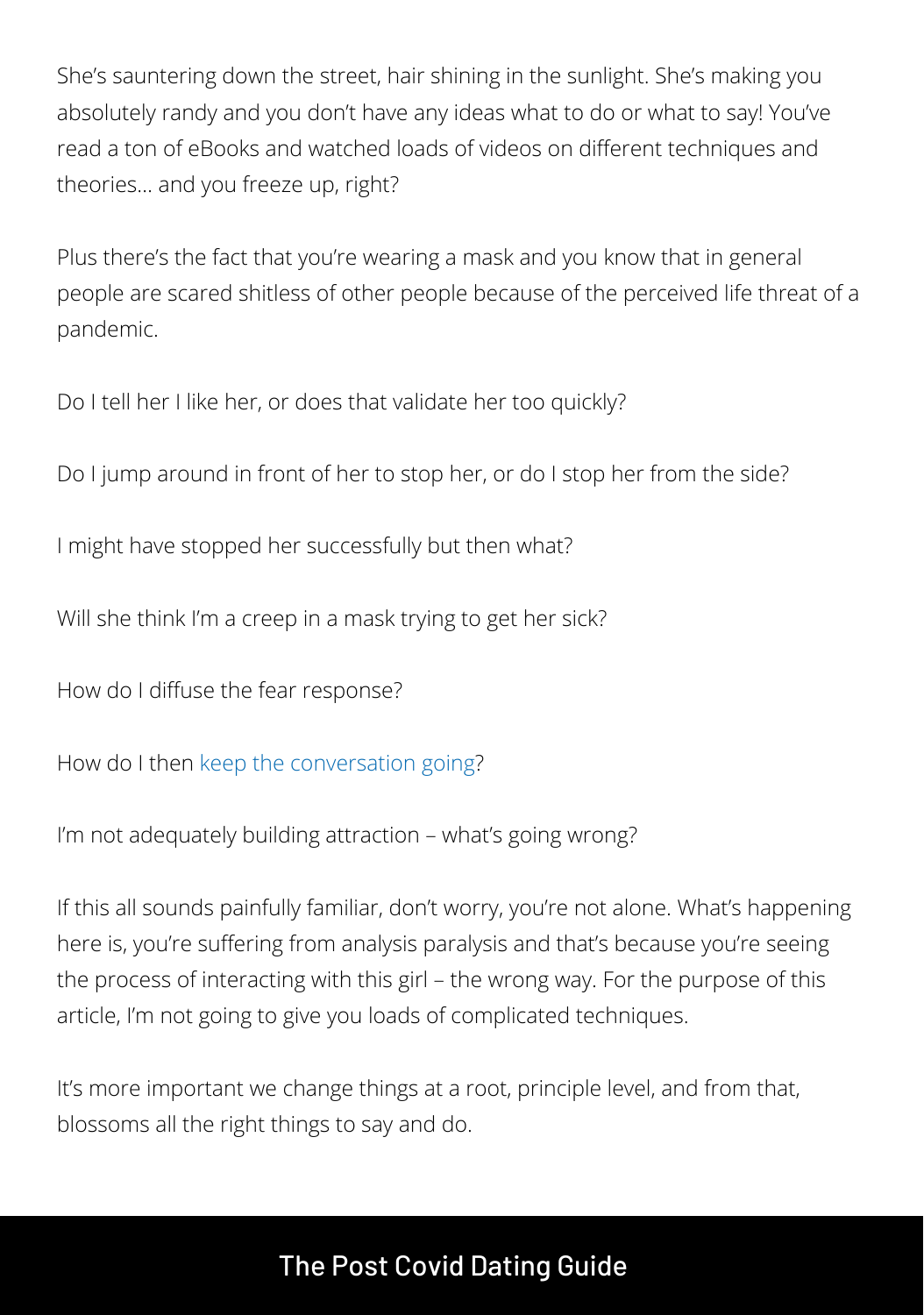She's sauntering down the street, hair shining in the sunlight. She's making you absolutely randy and you don't have any ideas what to do or what to say! You've read a ton of eBooks and watched loads of videos on different techniques and theories… and you freeze up, right?

Plus there's the fact that you're wearing a mask and you know that in general people are scared shitless of other people because of the perceived life threat of a pandemic.

Do I tell her I like her, or does that validate her too quickly?

Do I jump around in front of her to stop her, or do I stop her from the side?

I might have stopped her successfully but then what?

Will she think I'm a creep in a mask trying to get her sick?

How do I diffuse the fear response?

How do I then keep the [conversation](https://www.menprovement.com/how-to-keep-a-conversation-going/) going?

I'm not adequately building attraction – what's going wrong?

If this all sounds painfully familiar, don't worry, you're not alone. What's happening here is, you're suffering from analysis paralysis and that's because you're seeing the process of interacting with this girl – the wrong way. For the purpose of this article, I'm not going to give you loads of complicated techniques.

It's more important we change things at a root, principle level, and from that, blossoms all the right things to say and do.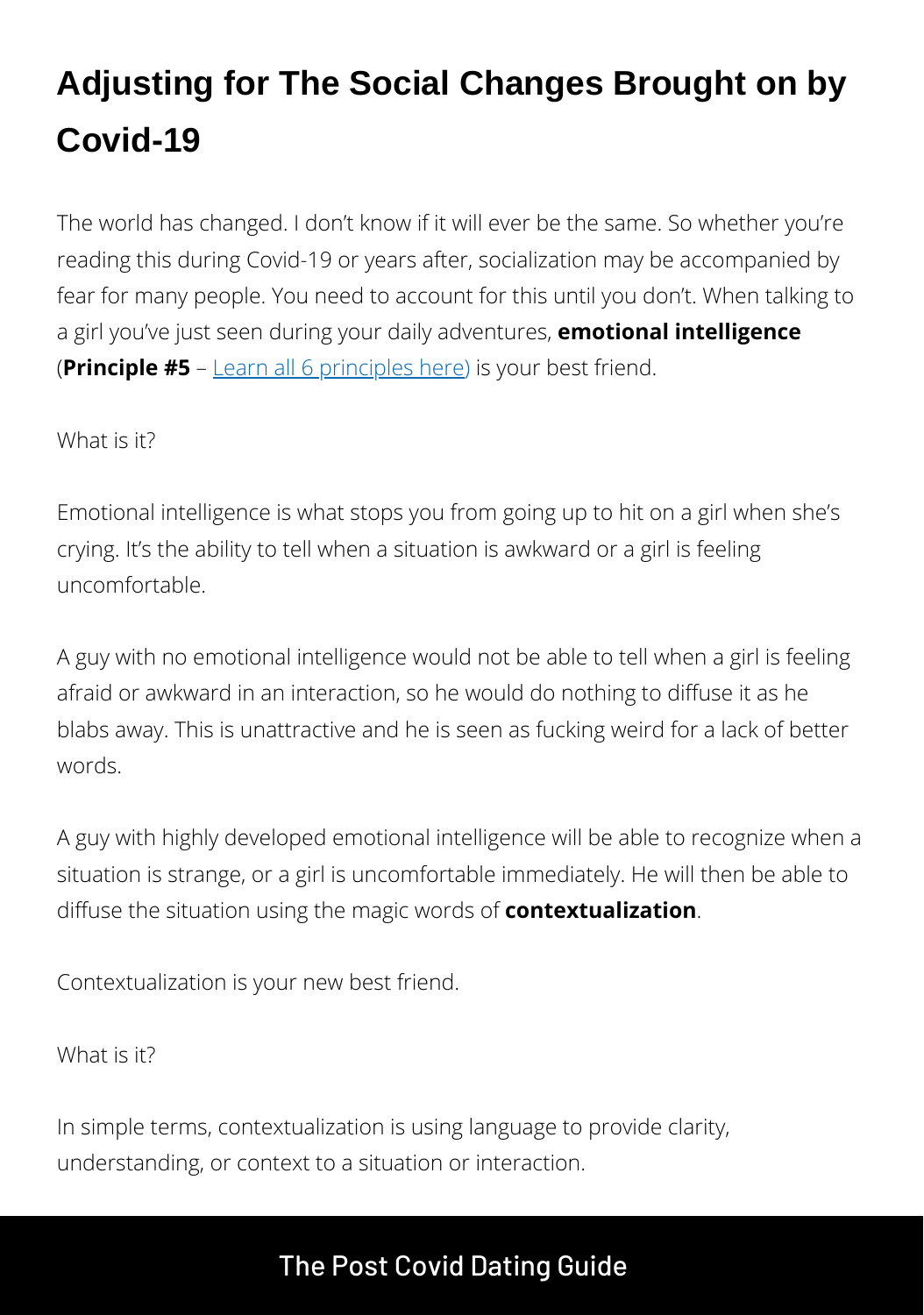# **Adjusting for The Social Changes Brought on by Covid-19**

The world has changed. I don't know if it will ever be the same. So whether you're reading this during Covid-19 or years after, socialization may be accompanied by fear for many people. You need to account for this until you don't. When talking to a girl you've just seen during your daily adventures, **emotional intelligence** (**Principle #5** – Learn all 6 [principles](https://menprovement.com/udp) here) is your best friend.

What is it?

Emotional intelligence is what stops you from going up to hit on a girl when she's crying. It's the ability to tell when a situation is awkward or a girl is feeling uncomfortable.

A guy with no emotional intelligence would not be able to tell when a girl is feeling afraid or awkward in an interaction, so he would do nothing to diffuse it as he blabs away. This is unattractive and he is seen as fucking weird for a lack of better words.

A guy with highly developed emotional intelligence will be able to recognize when a situation is strange, or a girl is uncomfortable immediately. He will then be able to diffuse the situation using the magic words of **contextualization**.

Contextualization is your new best friend.

What is it?

In simple terms, contextualization is using language to provide clarity, understanding, or context to a situation or interaction.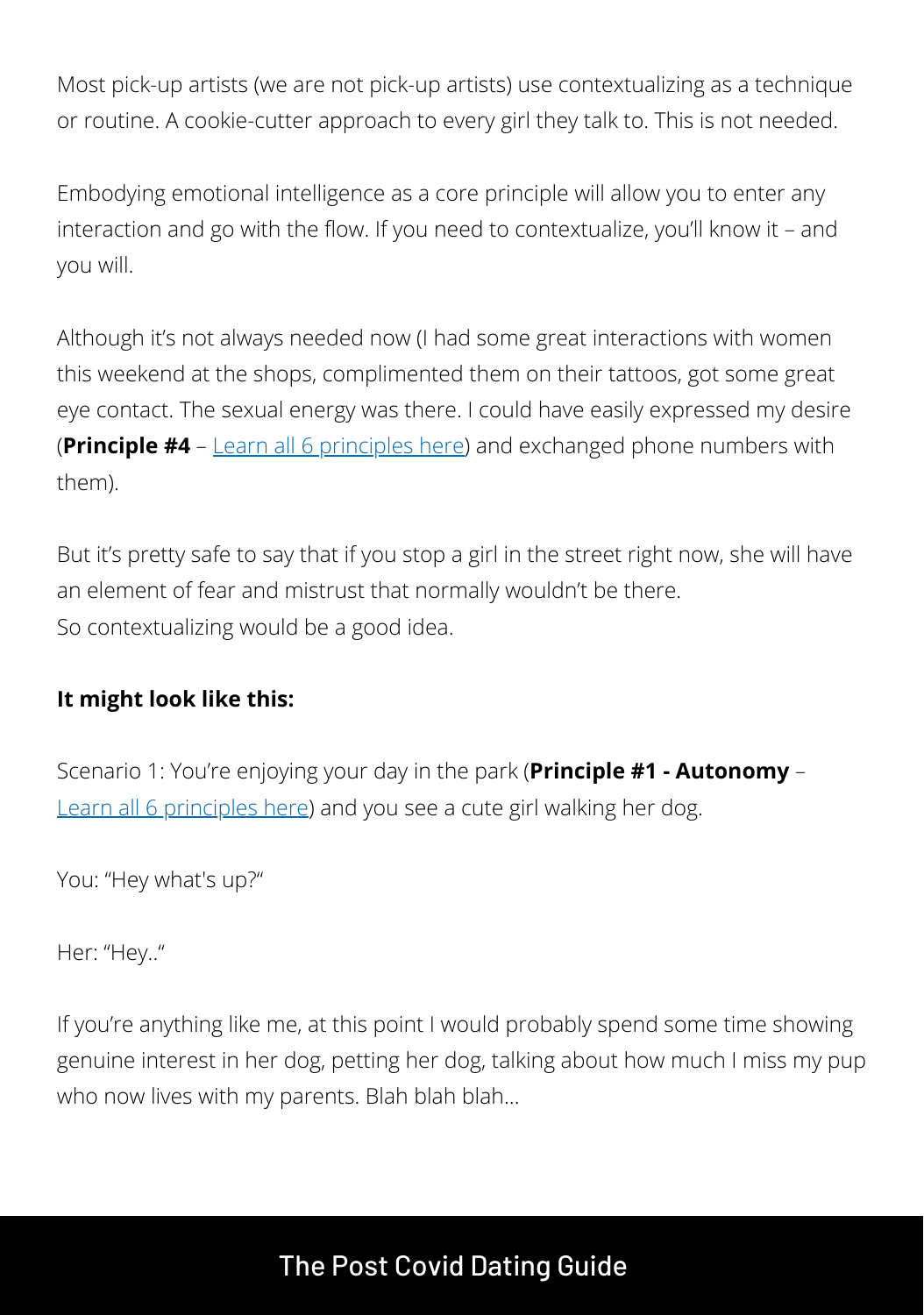Most pick-up artists (we are not pick-up artists) use contextualizing as a technique or routine. A cookie-cutter approach to every girl they talk to. This is not needed.

Embodying emotional intelligence as a core principle will allow you to enter any interaction and go with the flow. If you need to contextualize, you'll know it – and you will.

Although it's not always needed now (I had some great interactions with women this weekend at the shops, complimented them on their tattoos, got some great eye contact. The sexual energy was there. I could have easily expressed my desire (**Principle #4** – Learn all 6 [principles](https://menprovement.com/udp) here) and exchanged phone numbers with them).

But it's pretty safe to say that if you stop a girl in the street right now, she will have an element of fear and mistrust that normally wouldn't be there. So contextualizing would be a good idea.

#### **It might look like this:**

Scenario 1: You're enjoying your day in the park (**Principle #1 - Autonomy** – Learn all 6 [principles](https://menprovement.com/udp) here) and you see a cute girl walking her dog.

You: "Hey what's up?"

Her: "Hey.."

If you're anything like me, at this point I would probably spend some time showing genuine interest in her dog, petting her dog, talking about how much I miss my pup who now lives with my parents. Blah blah blah...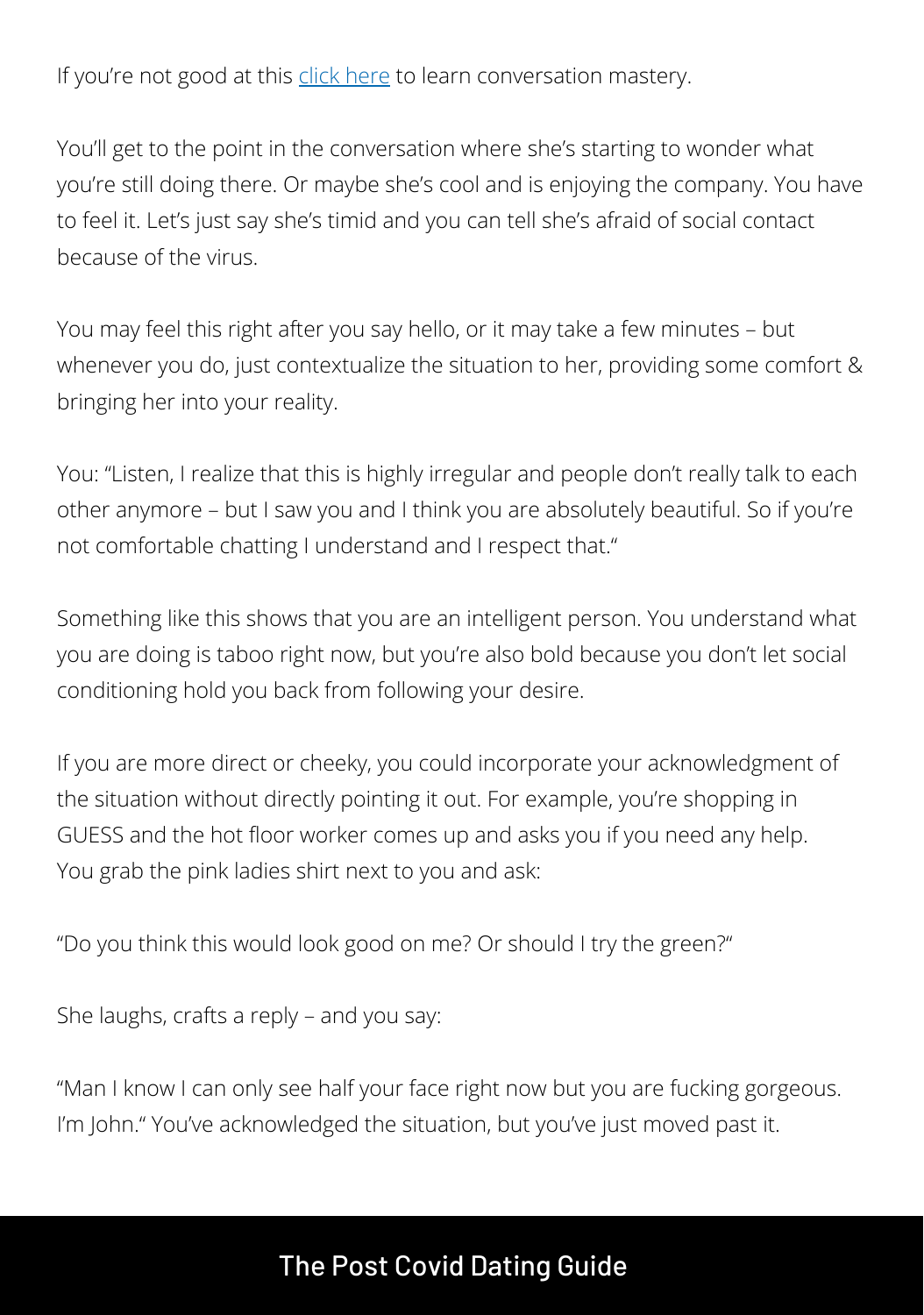If you're not good at this click [here](https://www.menprovement.com/how-to-keep-a-conversation-going/) to learn conversation mastery.

You'll get to the point in the conversation where she's starting to wonder what you're still doing there. Or maybe she's cool and is enjoying the company. You have to feel it. Let's just say she's timid and you can tell she's afraid of social contact because of the virus.

You may feel this right after you say hello, or it may take a few minutes – but whenever you do, just contextualize the situation to her, providing some comfort & bringing her into your reality.

You: "Listen, I realize that this is highly irregular and people don't really talk to each other anymore – but I saw you and I think you are absolutely beautiful. So if you're not comfortable chatting I understand and I respect that."

Something like this shows that you are an intelligent person. You understand what you are doing is taboo right now, but you're also bold because you don't let social conditioning hold you back from following your desire.

If you are more direct or cheeky, you could incorporate your acknowledgment of the situation without directly pointing it out. For example, you're shopping in GUESS and the hot floor worker comes up and asks you if you need any help. You grab the pink ladies shirt next to you and ask:

"Do you think this would look good on me? Or should I try the green?"

She laughs, crafts a reply – and you say:

"Man I know I can only see half your face right now but you are fucking gorgeous. I'm John." You've acknowledged the situation, but you've just moved past it.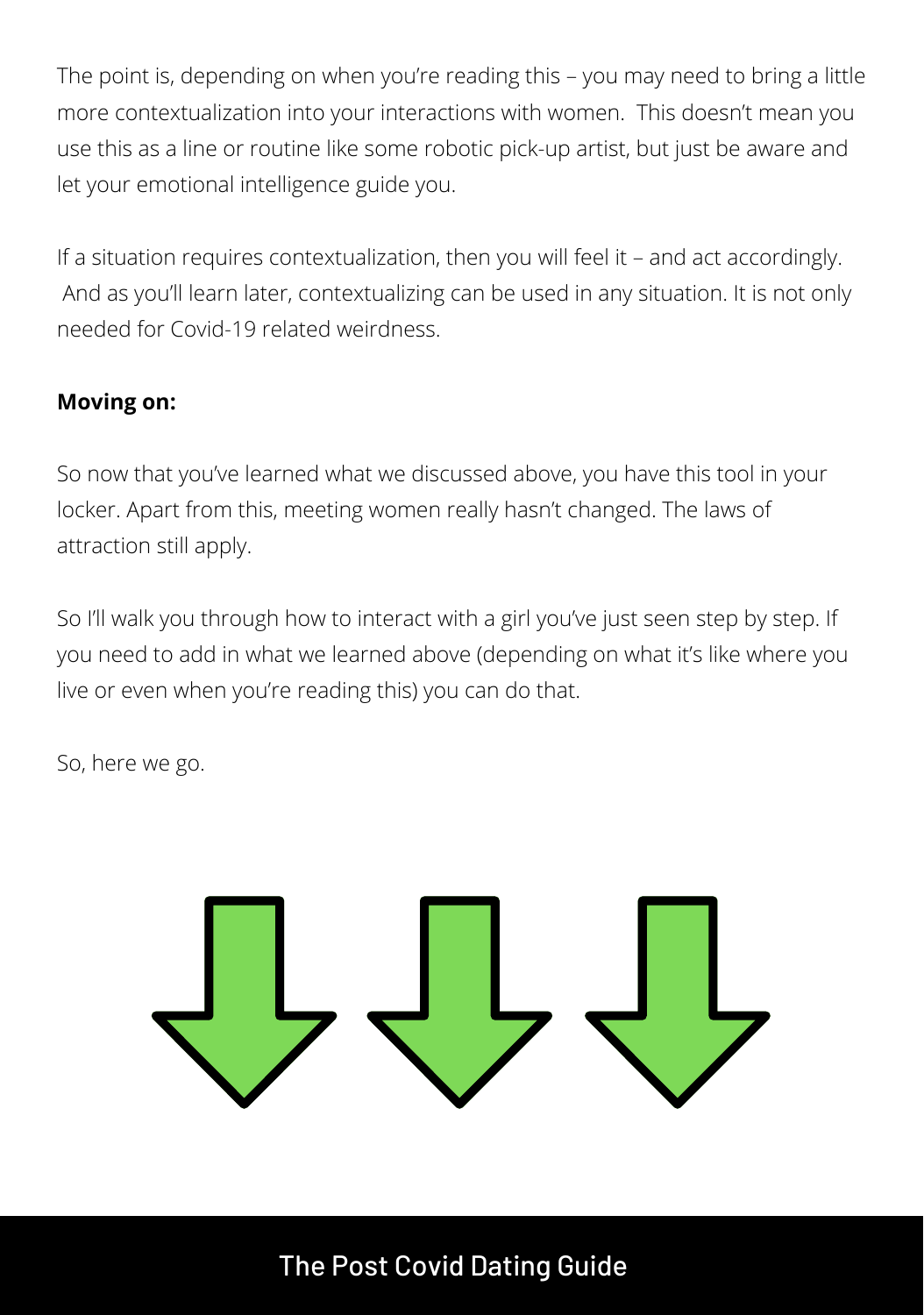The point is, depending on when you're reading this – you may need to bring a little more contextualization into your interactions with women. This doesn't mean you use this as a line or routine like some robotic pick-up artist, but just be aware and let your emotional intelligence guide you.

If a situation requires contextualization, then you will feel it – and act accordingly. And as you'll learn later, contextualizing can be used in any situation. It is not only needed for Covid-19 related weirdness.

#### **Moving on:**

So now that you've learned what we discussed above, you have this tool in your locker. Apart from this, meeting women really hasn't changed. The laws of attraction still apply.

So I'll walk you through how to interact with a girl you've just seen step by step. If you need to add in what we learned above (depending on what it's like where you live or even when you're reading this) you can do that.

So, here we go.

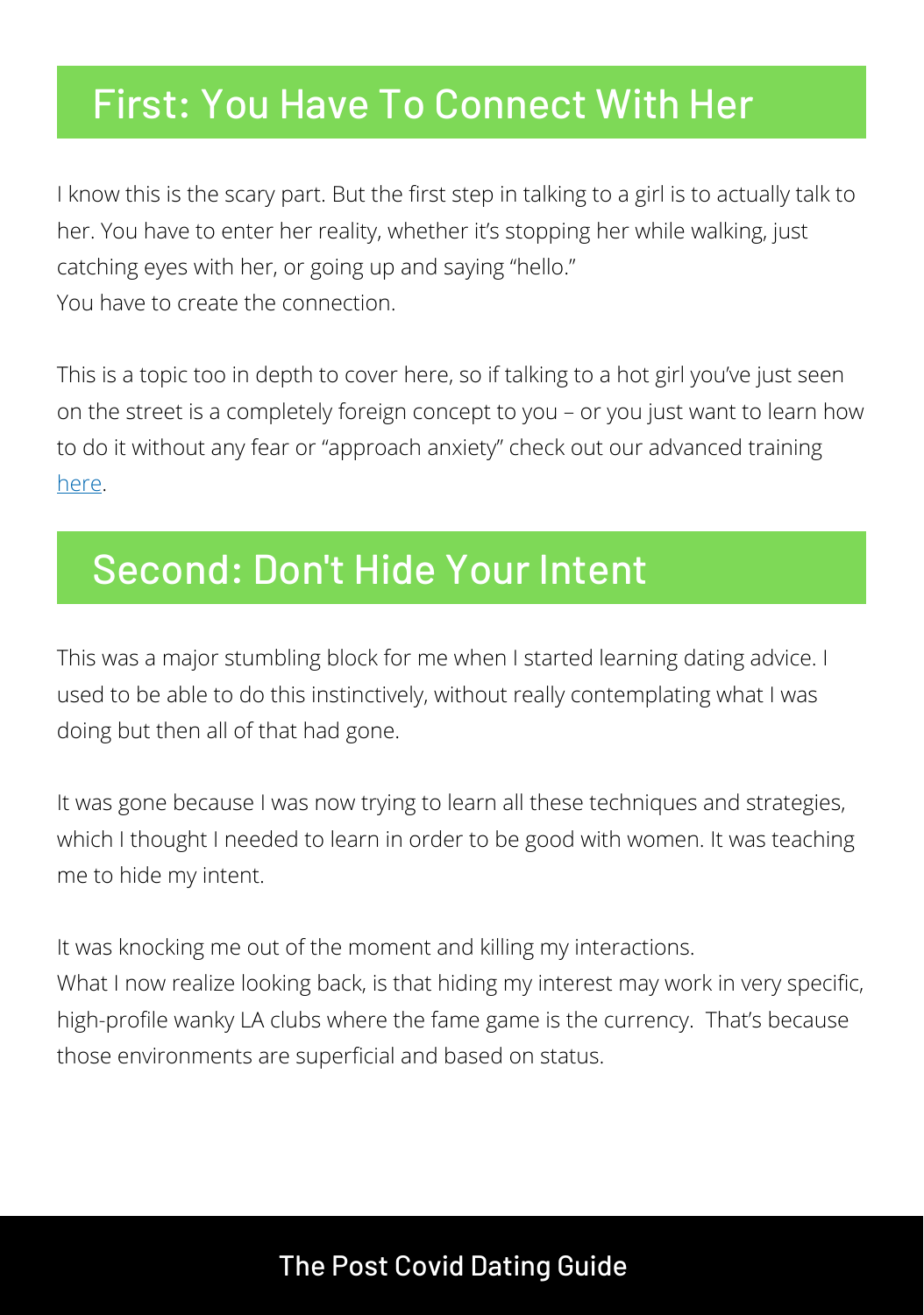# First: You Have To Connect With Her

I know this is the scary part. But the first step in talking to a girl is to actually talk to her. You have to enter her reality, whether it's stopping her while walking, just catching eyes with her, or going up and saying "hello." You have to create the connection.

This is a topic too in depth to cover here, so if talking to a hot girl you've just seen on the street is a completely foreign concept to you – or you just want to learn how to do it without any fear or "approach anxiety" check out our advanced training [here.](https://menprovement.com/udp)

# Second: Don't Hide Your Intent

This was a major stumbling block for me when I started learning dating advice. I used to be able to do this instinctively, without really contemplating what I was doing but then all of that had gone.

It was gone because I was now trying to learn all these techniques and strategies, which I thought I needed to learn in order to be good with women. It was teaching me to hide my intent.

It was knocking me out of the moment and killing my interactions. What I now realize looking back, is that hiding my interest may work in very specific, high-profile wanky LA clubs where the fame game is the currency. That's because those environments are superficial and based on status.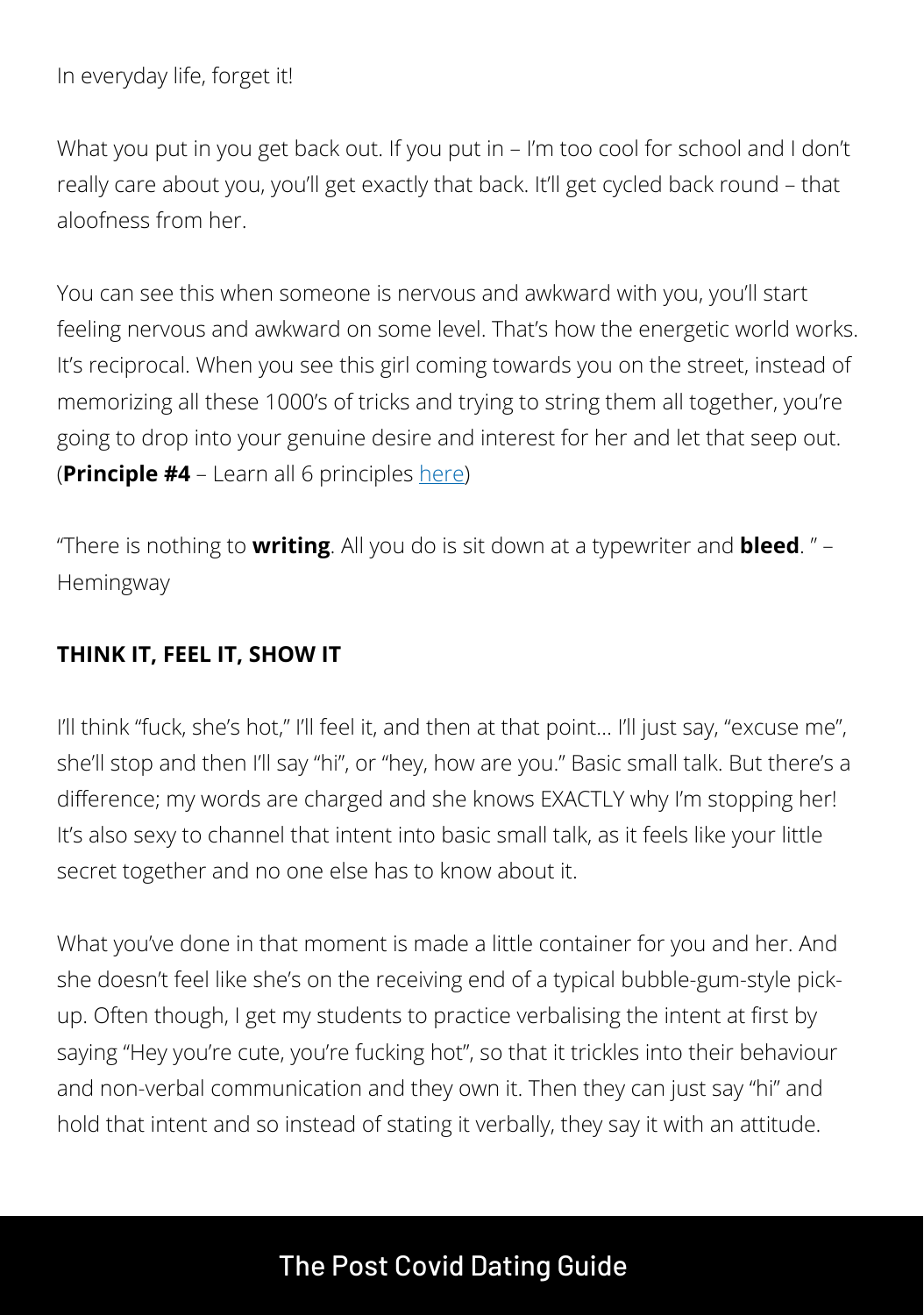In everyday life, forget it!

What you put in you get back out. If you put in – I'm too cool for school and I don't really care about you, you'll get exactly that back. It'll get cycled back round – that aloofness from her.

You can see this when someone is nervous and awkward with you, you'll start feeling nervous and awkward on some level. That's how the energetic world works. It's reciprocal. When you see this girl coming towards you on the street, instead of memorizing all these 1000's of tricks and trying to string them all together, you're going to drop into your genuine desire and interest for her and let that seep out. (**Principle #4** – Learn all 6 [principles](https://www.menprovement.com/the-6-principles/) [here\)](https://menprovement.com/udp)

"There is nothing to **writing**. All you do is sit down at a typewriter and **bleed**. " – Hemingway

#### **THINK IT, FEEL IT, SHOW IT**

I'll think "fuck, she's hot," I'll feel it, and then at that point... I'll just say, "excuse me", she'll stop and then I'll say "hi", or "hey, how are you." Basic small talk. But there's a difference; my words are charged and she knows EXACTLY why I'm stopping her! It's also sexy to channel that intent into basic small talk, as it feels like your little secret together and no one else has to know about it.

What you've done in that moment is made a little container for you and her. And she doesn't feel like she's on the receiving end of a typical bubble-gum-style pickup. Often though, I get my students to practice verbalising the intent at first by saying "Hey you're cute, you're fucking hot", so that it trickles into their behaviour and non-verbal communication and they own it. Then they can just say "hi" and hold that intent and so instead of stating it verbally, they say it with an attitude.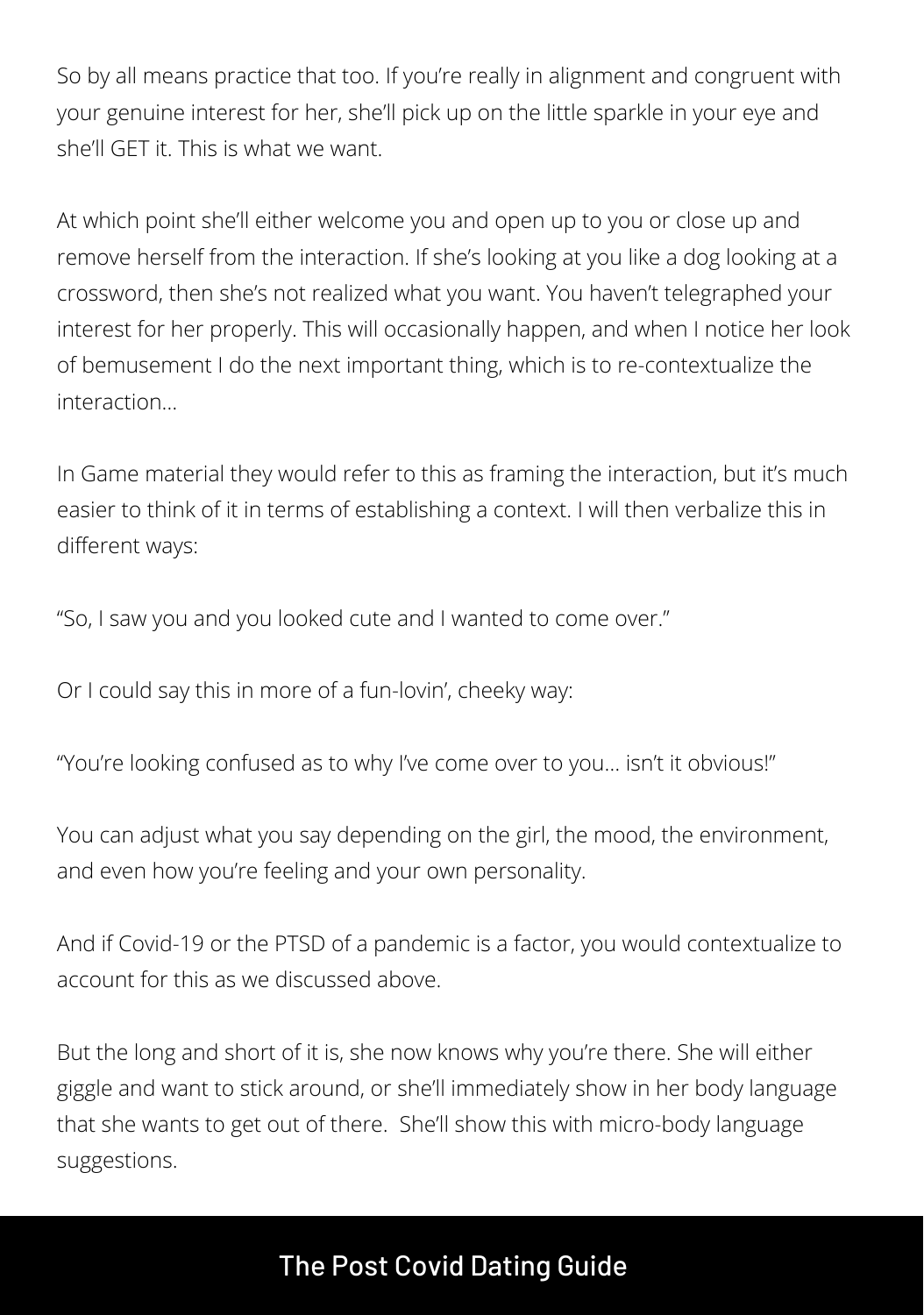So by all means practice that too. If you're really in alignment and congruent with your genuine interest for her, she'll pick up on the little sparkle in your eye and she'll GET it. This is what we want.

At which point she'll either welcome you and open up to you or close up and remove herself from the interaction. If she's looking at you like a dog looking at a crossword, then she's not realized what you want. You haven't telegraphed your interest for her properly. This will occasionally happen, and when I notice her look of bemusement I do the next important thing, which is to re-contextualize the interaction…

In Game material they would refer to this as framing the interaction, but it's much easier to think of it in terms of establishing a context. I will then verbalize this in different ways:

"So, I saw you and you looked cute and I wanted to come over."

Or I could say this in more of a fun-lovin', cheeky way:

"You're looking confused as to why I've come over to you… isn't it obvious!"

You can adjust what you say depending on the girl, the mood, the environment, and even how you're feeling and your own personality.

And if Covid-19 or the PTSD of a pandemic is a factor, you would contextualize to account for this as we discussed above.

But the long and short of it is, she now knows why you're there. She will either giggle and want to stick around, or she'll immediately show in her body language that she wants to get out of there. She'll show this with micro-body language suggestions.